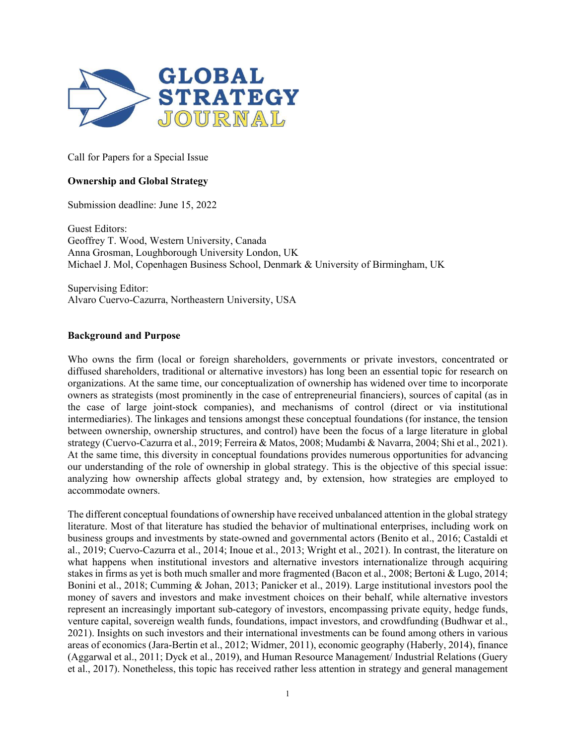

Call for Papers for a Special Issue

# **Ownership and Global Strategy**

Submission deadline: June 15, 2022

Guest Editors: Geoffrey T. Wood, Western University, Canada Anna Grosman, Loughborough University London, UK Michael J. Mol, Copenhagen Business School, Denmark & University of Birmingham, UK

Supervising Editor: Alvaro Cuervo-Cazurra, Northeastern University, USA

#### **Background and Purpose**

Who owns the firm (local or foreign shareholders, governments or private investors, concentrated or diffused shareholders, traditional or alternative investors) has long been an essential topic for research on organizations. At the same time, our conceptualization of ownership has widened over time to incorporate owners as strategists (most prominently in the case of entrepreneurial financiers), sources of capital (as in the case of large joint-stock companies), and mechanisms of control (direct or via institutional intermediaries). The linkages and tensions amongst these conceptual foundations (for instance, the tension between ownership, ownership structures, and control) have been the focus of a large literature in global strategy (Cuervo-Cazurra et al., 2019; Ferreira & Matos, 2008; Mudambi & Navarra, 2004; Shi et al., 2021). At the same time, this diversity in conceptual foundations provides numerous opportunities for advancing our understanding of the role of ownership in global strategy. This is the objective of this special issue: analyzing how ownership affects global strategy and, by extension, how strategies are employed to accommodate owners.

The different conceptual foundations of ownership have received unbalanced attention in the global strategy literature. Most of that literature has studied the behavior of multinational enterprises, including work on business groups and investments by state-owned and governmental actors (Benito et al., 2016; Castaldi et al., 2019; Cuervo-Cazurra et al., 2014; Inoue et al., 2013; Wright et al., 2021). In contrast, the literature on what happens when institutional investors and alternative investors internationalize through acquiring stakes in firms as yet is both much smaller and more fragmented (Bacon et al., 2008; Bertoni & Lugo, 2014; Bonini et al., 2018; Cumming & Johan, 2013; Panicker et al., 2019). Large institutional investors pool the money of savers and investors and make investment choices on their behalf, while alternative investors represent an increasingly important sub-category of investors, encompassing private equity, hedge funds, venture capital, sovereign wealth funds, foundations, impact investors, and crowdfunding (Budhwar et al., 2021). Insights on such investors and their international investments can be found among others in various areas of economics (Jara-Bertin et al., 2012; Widmer, 2011), economic geography (Haberly, 2014), finance (Aggarwal et al., 2011; Dyck et al., 2019), and Human Resource Management/ Industrial Relations (Guery et al., 2017). Nonetheless, this topic has received rather less attention in strategy and general management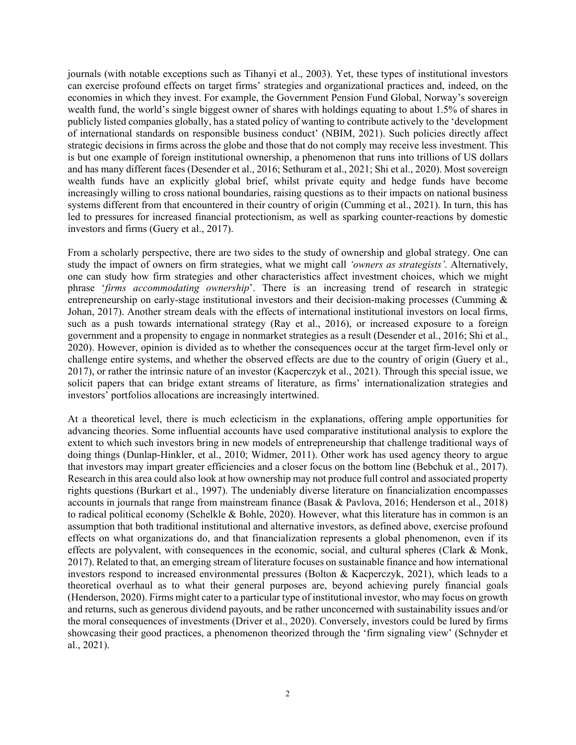journals (with notable exceptions such as Tihanyi et al., 2003). Yet, these types of institutional investors can exercise profound effects on target firms' strategies and organizational practices and, indeed, on the economies in which they invest. For example, the Government Pension Fund Global, Norway's sovereign wealth fund, the world's single biggest owner of shares with holdings equating to about 1.5% of shares in publicly listed companies globally, has a stated policy of wanting to contribute actively to the 'development of international standards on responsible business conduct' (NBIM, 2021). Such policies directly affect strategic decisions in firms across the globe and those that do not comply may receive less investment. This is but one example of foreign institutional ownership, a phenomenon that runs into trillions of US dollars and has many different faces (Desender et al., 2016; Sethuram et al., 2021; Shi et al., 2020). Most sovereign wealth funds have an explicitly global brief, whilst private equity and hedge funds have become increasingly willing to cross national boundaries, raising questions as to their impacts on national business systems different from that encountered in their country of origin (Cumming et al., 2021). In turn, this has led to pressures for increased financial protectionism, as well as sparking counter-reactions by domestic investors and firms (Guery et al., 2017).

From a scholarly perspective, there are two sides to the study of ownership and global strategy. One can study the impact of owners on firm strategies, what we might call *'owners as strategists'*. Alternatively, one can study how firm strategies and other characteristics affect investment choices, which we might phrase '*firms accommodating ownership*'. There is an increasing trend of research in strategic entrepreneurship on early-stage institutional investors and their decision-making processes (Cumming & Johan, 2017). Another stream deals with the effects of international institutional investors on local firms, such as a push towards international strategy (Ray et al., 2016), or increased exposure to a foreign government and a propensity to engage in nonmarket strategies as a result (Desender et al., 2016; Shi et al., 2020). However, opinion is divided as to whether the consequences occur at the target firm-level only or challenge entire systems, and whether the observed effects are due to the country of origin (Guery et al., 2017), or rather the intrinsic nature of an investor (Kacperczyk et al., 2021). Through this special issue, we solicit papers that can bridge extant streams of literature, as firms' internationalization strategies and investors' portfolios allocations are increasingly intertwined.

At a theoretical level, there is much eclecticism in the explanations, offering ample opportunities for advancing theories. Some influential accounts have used comparative institutional analysis to explore the extent to which such investors bring in new models of entrepreneurship that challenge traditional ways of doing things (Dunlap-Hinkler, et al., 2010; Widmer, 2011). Other work has used agency theory to argue that investors may impart greater efficiencies and a closer focus on the bottom line (Bebchuk et al., 2017). Research in this area could also look at how ownership may not produce full control and associated property rights questions (Burkart et al., 1997). The undeniably diverse literature on financialization encompasses accounts in journals that range from mainstream finance (Basak & Pavlova, 2016; Henderson et al., 2018) to radical political economy (Schelkle & Bohle, 2020). However, what this literature has in common is an assumption that both traditional institutional and alternative investors, as defined above, exercise profound effects on what organizations do, and that financialization represents a global phenomenon, even if its effects are polyvalent, with consequences in the economic, social, and cultural spheres (Clark & Monk, 2017). Related to that, an emerging stream of literature focuses on sustainable finance and how international investors respond to increased environmental pressures (Bolton & Kacperczyk, 2021), which leads to a theoretical overhaul as to what their general purposes are, beyond achieving purely financial goals (Henderson, 2020). Firms might cater to a particular type of institutional investor, who may focus on growth and returns, such as generous dividend payouts, and be rather unconcerned with sustainability issues and/or the moral consequences of investments (Driver et al., 2020). Conversely, investors could be lured by firms showcasing their good practices, a phenomenon theorized through the 'firm signaling view' (Schnyder et al., 2021).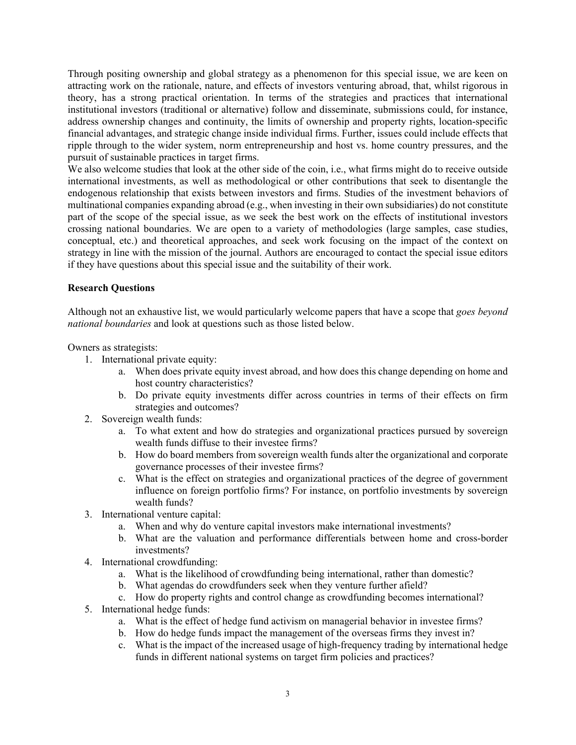Through positing ownership and global strategy as a phenomenon for this special issue, we are keen on attracting work on the rationale, nature, and effects of investors venturing abroad, that, whilst rigorous in theory, has a strong practical orientation. In terms of the strategies and practices that international institutional investors (traditional or alternative) follow and disseminate, submissions could, for instance, address ownership changes and continuity, the limits of ownership and property rights, location-specific financial advantages, and strategic change inside individual firms. Further, issues could include effects that ripple through to the wider system, norm entrepreneurship and host vs. home country pressures, and the pursuit of sustainable practices in target firms.

We also welcome studies that look at the other side of the coin, i.e., what firms might do to receive outside international investments, as well as methodological or other contributions that seek to disentangle the endogenous relationship that exists between investors and firms. Studies of the investment behaviors of multinational companies expanding abroad (e.g., when investing in their own subsidiaries) do not constitute part of the scope of the special issue, as we seek the best work on the effects of institutional investors crossing national boundaries. We are open to a variety of methodologies (large samples, case studies, conceptual, etc.) and theoretical approaches, and seek work focusing on the impact of the context on strategy in line with the mission of the journal. Authors are encouraged to contact the special issue editors if they have questions about this special issue and the suitability of their work.

## **Research Questions**

Although not an exhaustive list, we would particularly welcome papers that have a scope that *goes beyond national boundaries* and look at questions such as those listed below.

Owners as strategists:

- 1. International private equity:
	- a. When does private equity invest abroad, and how does this change depending on home and host country characteristics?
	- b. Do private equity investments differ across countries in terms of their effects on firm strategies and outcomes?
- 2. Sovereign wealth funds:
	- a. To what extent and how do strategies and organizational practices pursued by sovereign wealth funds diffuse to their investee firms?
	- b. How do board members from sovereign wealth funds alter the organizational and corporate governance processes of their investee firms?
	- c. What is the effect on strategies and organizational practices of the degree of government influence on foreign portfolio firms? For instance, on portfolio investments by sovereign wealth funds?
- 3. International venture capital:
	- a. When and why do venture capital investors make international investments?
	- b. What are the valuation and performance differentials between home and cross-border investments?
- 4. International crowdfunding:
	- a. What is the likelihood of crowdfunding being international, rather than domestic?
	- b. What agendas do crowdfunders seek when they venture further afield?
	- c. How do property rights and control change as crowdfunding becomes international?
- 5. International hedge funds:
	- a. What is the effect of hedge fund activism on managerial behavior in investee firms?
	- b. How do hedge funds impact the management of the overseas firms they invest in?
	- c. What is the impact of the increased usage of high-frequency trading by international hedge funds in different national systems on target firm policies and practices?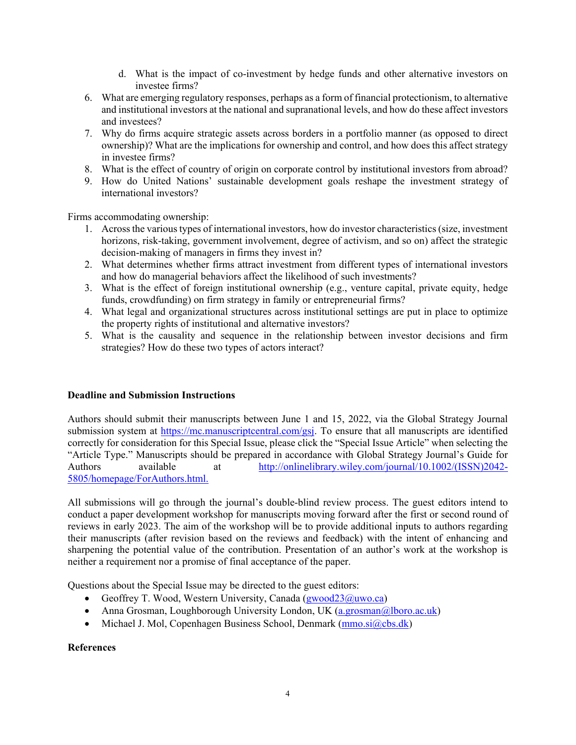- d. What is the impact of co-investment by hedge funds and other alternative investors on investee firms?
- 6. What are emerging regulatory responses, perhaps as a form of financial protectionism, to alternative and institutional investors at the national and supranational levels, and how do these affect investors and investees?
- 7. Why do firms acquire strategic assets across borders in a portfolio manner (as opposed to direct ownership)? What are the implications for ownership and control, and how does this affect strategy in investee firms?
- 8. What is the effect of country of origin on corporate control by institutional investors from abroad?
- 9. How do United Nations' sustainable development goals reshape the investment strategy of international investors?

Firms accommodating ownership:

- 1. Across the various types of international investors, how do investor characteristics (size, investment horizons, risk-taking, government involvement, degree of activism, and so on) affect the strategic decision-making of managers in firms they invest in?
- 2. What determines whether firms attract investment from different types of international investors and how do managerial behaviors affect the likelihood of such investments?
- 3. What is the effect of foreign institutional ownership (e.g., venture capital, private equity, hedge funds, crowdfunding) on firm strategy in family or entrepreneurial firms?
- 4. What legal and organizational structures across institutional settings are put in place to optimize the property rights of institutional and alternative investors?
- 5. What is the causality and sequence in the relationship between investor decisions and firm strategies? How do these two types of actors interact?

## **Deadline and Submission Instructions**

Authors should submit their manuscripts between June 1 and 15, 2022, via the Global Strategy Journal submission system at [https://mc.manuscriptcentral.com/gsj.](https://mc.manuscriptcentral.com/gsj) To ensure that all manuscripts are identified correctly for consideration for this Special Issue, please click the "Special Issue Article" when selecting the "Article Type." Manuscripts should be prepared in accordance with Global Strategy Journal's Guide for Authors available at [http://onlinelibrary.wiley.com/journal/10.1002/\(ISSN\)2042-](http://onlinelibrary.wiley.com/journal/10.1002/(ISSN)2042-5805/homepage/ForAuthors.html) [5805/homepage/ForAuthors.html.](http://onlinelibrary.wiley.com/journal/10.1002/(ISSN)2042-5805/homepage/ForAuthors.html)

All submissions will go through the journal's double-blind review process. The guest editors intend to conduct a paper development workshop for manuscripts moving forward after the first or second round of reviews in early 2023. The aim of the workshop will be to provide additional inputs to authors regarding their manuscripts (after revision based on the reviews and feedback) with the intent of enhancing and sharpening the potential value of the contribution. Presentation of an author's work at the workshop is neither a requirement nor a promise of final acceptance of the paper.

Questions about the Special Issue may be directed to the guest editors:

- Geoffrey T. Wood, Western University, Canada ( $\frac{gwood23@uwo.ca)}{gwood23@uwo.ca)}$
- Anna Grosman, Loughborough University London, UK [\(a.grosman@lboro.ac.uk\)](mailto:a.grosman@lboro.ac.uk)
- Michael J. Mol, Copenhagen Business School, Denmark  $(mmo.si@cbs.dk)$

## **References**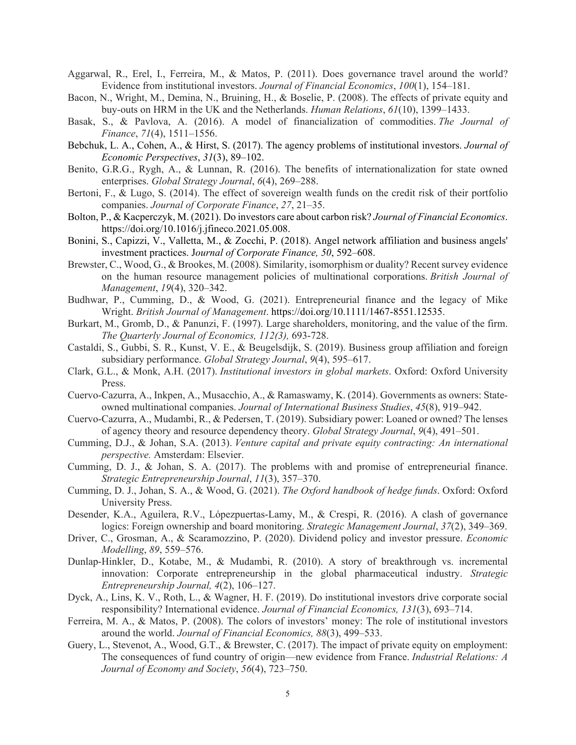- Aggarwal, R., Erel, I., Ferreira, M., & Matos, P. (2011). Does governance travel around the world? Evidence from institutional investors. *Journal of Financial Economics*, *100*(1), 154–181.
- Bacon, N., Wright, M., Demina, N., Bruining, H., & Boselie, P. (2008). The effects of private equity and buy-outs on HRM in the UK and the Netherlands. *Human Relations*, *61*(10), 1399–1433.
- Basak, S., & Pavlova, A. (2016). A model of financialization of commodities. *The Journal of Finance*, *71*(4), 1511–1556.
- Bebchuk, L. A., Cohen, A., & Hirst, S. (2017). The agency problems of institutional investors. *Journal of Economic Perspectives*, *31*(3), 89–102.
- Benito, G.R.G., Rygh, A., & Lunnan, R. (2016). The benefits of internationalization for state owned enterprises. *Global Strategy Journal*, *6*(4), 269–288.
- Bertoni, F., & Lugo, S. (2014). The effect of sovereign wealth funds on the credit risk of their portfolio companies. *Journal of Corporate Finance*, *27*, 21–35.
- Bolton, P., & Kacperczyk, M. (2021). Do investors care about carbon risk? *Journal of Financial Economics*. https://doi.org/10.1016/j.jfineco.2021.05.008.
- Bonini, S., Capizzi, V., Valletta, M., & Zocchi, P. (2018). Angel network affiliation and business angels' investment practices. J*ournal of Corporate Finance, 50*, 592–608.
- Brewster, C., Wood, G., & Brookes, M. (2008). Similarity, isomorphism or duality? Recent survey evidence on the human resource management policies of multinational corporations. *British Journal of Management*, *19*(4), 320–342.
- Budhwar, P., Cumming, D., & Wood, G. (2021). Entrepreneurial finance and the legacy of Mike Wright. *British Journal of Management*. https://doi.org/10.1111/1467-8551.12535.
- Burkart, M., Gromb, D., & Panunzi, F. (1997). Large shareholders, monitoring, and the value of the firm. *The Quarterly Journal of Economics, 112(3),* 693-728.
- Castaldi, S., Gubbi, S. R., Kunst, V. E., & Beugelsdijk, S. (2019). Business group affiliation and foreign subsidiary performance. *Global Strategy Journal*, *9*(4), 595–617.
- Clark, G.L., & Monk, A.H. (2017). *Institutional investors in global markets*. Oxford: Oxford University Press.
- Cuervo-Cazurra, A., Inkpen, A., Musacchio, A., & Ramaswamy, K. (2014). Governments as owners: Stateowned multinational companies. *Journal of International Business Studies*, *45*(8), 919–942.
- Cuervo-Cazurra, A., Mudambi, R., & Pedersen, T. (2019). Subsidiary power: Loaned or owned? The lenses of agency theory and resource dependency theory. *Global Strategy Journal*, *9*(4), 491–501.
- Cumming, D.J., & Johan, S.A. (2013). *Venture capital and private equity contracting: An international perspective.* Amsterdam: Elsevier.
- Cumming, D. J., & Johan, S. A. (2017). The problems with and promise of entrepreneurial finance. *Strategic Entrepreneurship Journal*, *11*(3), 357–370.
- Cumming, D. J., Johan, S. A., & Wood, G. (2021). *The Oxford handbook of hedge funds*. Oxford: Oxford University Press.
- Desender, K.A., Aguilera, R.V., Lópezpuertas‐Lamy, M., & Crespi, R. (2016). A clash of governance logics: Foreign ownership and board monitoring. *Strategic Management Journal*, *37*(2), 349–369.
- Driver, C., Grosman, A., & Scaramozzino, P. (2020). Dividend policy and investor pressure. *Economic Modelling*, *89*, 559–576.
- Dunlap-Hinkler, D., Kotabe, M., & Mudambi, R. (2010). A story of breakthrough vs. incremental innovation: Corporate entrepreneurship in the global pharmaceutical industry. *Strategic Entrepreneurship Journal, 4*(2), 106–127.
- Dyck, A., Lins, K. V., Roth, L., & Wagner, H. F. (2019). Do institutional investors drive corporate social responsibility? International evidence. *Journal of Financial Economics, 131*(3), 693–714.
- Ferreira, M. A., & Matos, P. (2008). The colors of investors' money: The role of institutional investors around the world. *Journal of Financial Economics, 88*(3), 499–533.
- Guery, L., Stevenot, A., Wood, G.T., & Brewster, C. (2017). The impact of private equity on employment: The consequences of fund country of origin—new evidence from France. *Industrial Relations: A Journal of Economy and Society*, *56*(4), 723–750.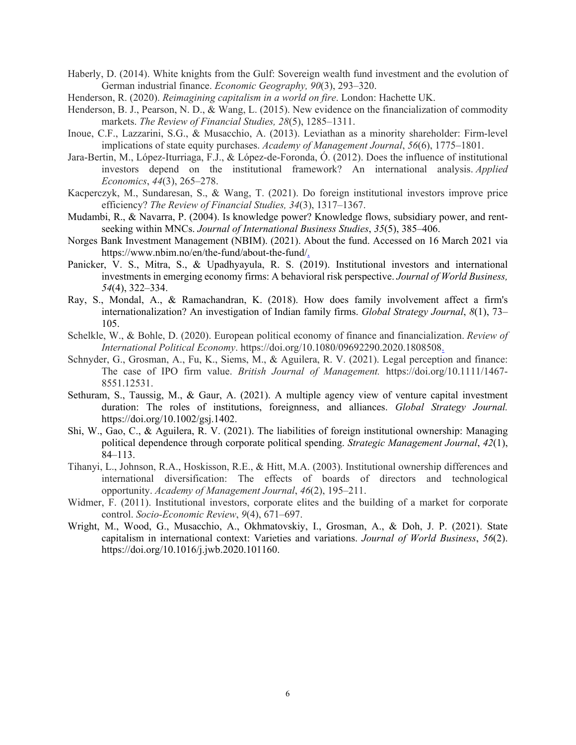- Haberly, D. (2014). White knights from the Gulf: Sovereign wealth fund investment and the evolution of German industrial finance. *Economic Geography, 90*(3), 293–320.
- Henderson, R. (2020). *Reimagining capitalism in a world on fire*. London: Hachette UK.
- Henderson, B. J., Pearson, N. D., & Wang, L. (2015). New evidence on the financialization of commodity markets. *The Review of Financial Studies, 28*(5), 1285–1311.
- Inoue, C.F., Lazzarini, S.G., & Musacchio, A. (2013). Leviathan as a minority shareholder: Firm-level implications of state equity purchases. *Academy of Management Journal*, *56*(6), 1775–1801.
- Jara-Bertin, M., López-Iturriaga, F.J., & López-de-Foronda, Ó. (2012). Does the influence of institutional investors depend on the institutional framework? An international analysis. *Applied Economics*, *44*(3), 265–278.
- Kacperczyk, M., Sundaresan, S., & Wang, T. (2021). Do foreign institutional investors improve price efficiency? *The Review of Financial Studies, 34*(3), 1317–1367.
- Mudambi, R., & Navarra, P. (2004). Is knowledge power? Knowledge flows, subsidiary power, and rentseeking within MNCs. *Journal of International Business Studies*, *35*(5), 385–406.
- Norges Bank Investment Management (NBIM). (2021). About the fund. Accessed on 16 March 2021 via https://www.nbim.no/en/the-fund/about-the-fund/.
- Panicker, V. S., Mitra, S., & Upadhyayula, R. S. (2019). Institutional investors and international investments in emerging economy firms: A behavioral risk perspective. *Journal of World Business, 54*(4), 322–334.
- Ray, S., Mondal, A., & Ramachandran, K. (2018). How does family involvement affect a firm's internationalization? An investigation of Indian family firms. *Global Strategy Journal*, *8*(1), 73– 105.
- Schelkle, W., & Bohle, D. (2020). European political economy of finance and financialization. *Review of International Political Economy*. https://doi.org/10.1080/09692290.2020.1808508.
- Schnyder, G., Grosman, A., Fu, K., Siems, M., & Aguilera, R. V. (2021). Legal perception and finance: The case of IPO firm value. *British Journal of Management.* https://doi.org/10.1111/1467- 8551.12531.
- Sethuram, S., Taussig, M., & Gaur, A. (2021). A multiple agency view of venture capital investment duration: The roles of institutions, foreignness, and alliances. *Global Strategy Journal.* https://doi.org/10.1002/gsj.1402.
- Shi, W., Gao, C., & Aguilera, R. V. (2021). The liabilities of foreign institutional ownership: Managing political dependence through corporate political spending. *Strategic Management Journal*, *42*(1), 84–113.
- Tihanyi, L., Johnson, R.A., Hoskisson, R.E., & Hitt, M.A. (2003). Institutional ownership differences and international diversification: The effects of boards of directors and technological opportunity. *Academy of Management Journal*, *46*(2), 195–211.
- Widmer, F. (2011). Institutional investors, corporate elites and the building of a market for corporate control. *Socio-Economic Review*, *9*(4), 671–697.
- Wright, M., Wood, G., Musacchio, A., Okhmatovskiy, I., Grosman, A., & Doh, J. P. (2021). State capitalism in international context: Varieties and variations. *Journal of World Business*, *56*(2). https://doi.org/10.1016/j.jwb.2020.101160.